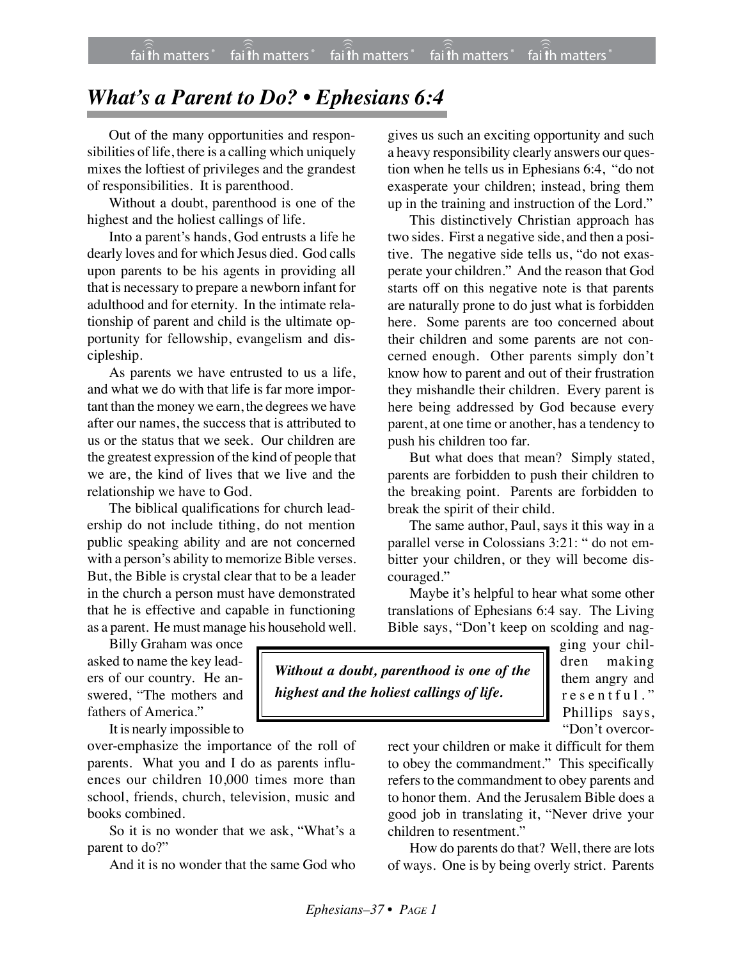## *What's a Parent to Do? • Ephesians 6:4*

Out of the many opportunities and responsibilities of life, there is a calling which uniquely mixes the loftiest of privileges and the grandest of responsibilities. It is parenthood.

Without a doubt, parenthood is one of the highest and the holiest callings of life.

Into a parent's hands, God entrusts a life he dearly loves and for which Jesus died. God calls upon parents to be his agents in providing all that is necessary to prepare a newborn infant for adulthood and for eternity. In the intimate relationship of parent and child is the ultimate opportunity for fellowship, evangelism and discipleship.

As parents we have entrusted to us a life, and what we do with that life is far more important than the money we earn, the degrees we have after our names, the success that is attributed to us or the status that we seek. Our children are the greatest expression of the kind of people that we are, the kind of lives that we live and the relationship we have to God.

The biblical qualifications for church leadership do not include tithing, do not mention public speaking ability and are not concerned with a person's ability to memorize Bible verses. But, the Bible is crystal clear that to be a leader in the church a person must have demonstrated that he is effective and capable in functioning as a parent. He must manage his household well.

gives us such an exciting opportunity and such a heavy responsibility clearly answers our question when he tells us in Ephesians 6:4, "do not exasperate your children; instead, bring them up in the training and instruction of the Lord."

This distinctively Christian approach has two sides. First a negative side, and then a positive. The negative side tells us, "do not exasperate your children." And the reason that God starts off on this negative note is that parents are naturally prone to do just what is forbidden here. Some parents are too concerned about their children and some parents are not concerned enough. Other parents simply don't know how to parent and out of their frustration they mishandle their children. Every parent is here being addressed by God because every parent, at one time or another, has a tendency to push his children too far.

But what does that mean? Simply stated, parents are forbidden to push their children to the breaking point. Parents are forbidden to break the spirit of their child.

The same author, Paul, says it this way in a parallel verse in Colossians 3:21: " do not embitter your children, or they will become discouraged."

Maybe it's helpful to hear what some other translations of Ephesians 6:4 say. The Living Bible says, "Don't keep on scolding and nag-

Billy Graham was once asked to name the key leaders of our country. He answered, "The mothers and fathers of America."

It is nearly impossible to

over-emphasize the importance of the roll of parents. What you and I do as parents influences our children 10,000 times more than school, friends, church, television, music and books combined.

So it is no wonder that we ask, "What's a parent to do?"

And it is no wonder that the same God who

*Without a doubt, parenthood is one of the highest and the holiest callings of life.*

ging your children making them angry and resentful." Phillips says, "Don't overcor-

rect your children or make it difficult for them to obey the commandment." This specifically refers to the commandment to obey parents and to honor them. And the Jerusalem Bible does a good job in translating it, "Never drive your children to resentment."

How do parents do that? Well, there are lots of ways. One is by being overly strict. Parents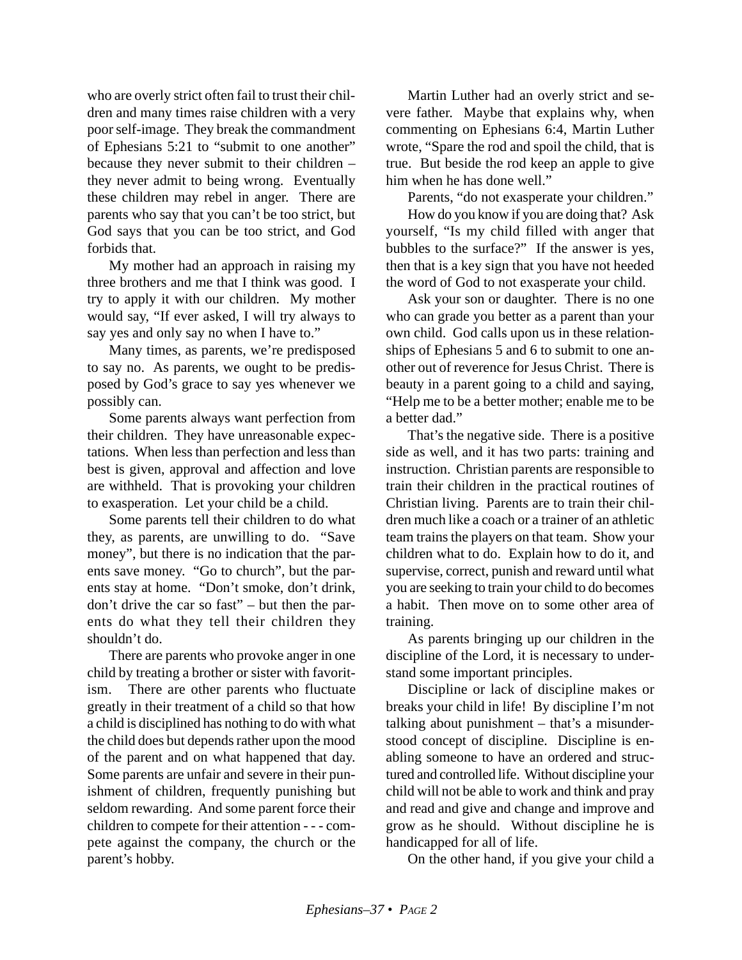who are overly strict often fail to trust their children and many times raise children with a very poor self-image. They break the commandment of Ephesians 5:21 to "submit to one another" because they never submit to their children – they never admit to being wrong. Eventually these children may rebel in anger. There are parents who say that you can't be too strict, but God says that you can be too strict, and God forbids that.

My mother had an approach in raising my three brothers and me that I think was good. I try to apply it with our children. My mother would say, "If ever asked, I will try always to say yes and only say no when I have to."

Many times, as parents, we're predisposed to say no. As parents, we ought to be predisposed by God's grace to say yes whenever we possibly can.

Some parents always want perfection from their children. They have unreasonable expectations. When less than perfection and less than best is given, approval and affection and love are withheld. That is provoking your children to exasperation. Let your child be a child.

Some parents tell their children to do what they, as parents, are unwilling to do. "Save money", but there is no indication that the parents save money. "Go to church", but the parents stay at home. "Don't smoke, don't drink, don't drive the car so fast" – but then the parents do what they tell their children they shouldn't do.

There are parents who provoke anger in one child by treating a brother or sister with favoritism. There are other parents who fluctuate greatly in their treatment of a child so that how a child is disciplined has nothing to do with what the child does but depends rather upon the mood of the parent and on what happened that day. Some parents are unfair and severe in their punishment of children, frequently punishing but seldom rewarding. And some parent force their children to compete for their attention - - - compete against the company, the church or the parent's hobby.

Martin Luther had an overly strict and severe father. Maybe that explains why, when commenting on Ephesians 6:4, Martin Luther wrote, "Spare the rod and spoil the child, that is true. But beside the rod keep an apple to give him when he has done well."

Parents, "do not exasperate your children."

How do you know if you are doing that? Ask yourself, "Is my child filled with anger that bubbles to the surface?" If the answer is yes, then that is a key sign that you have not heeded the word of God to not exasperate your child.

Ask your son or daughter. There is no one who can grade you better as a parent than your own child. God calls upon us in these relationships of Ephesians 5 and 6 to submit to one another out of reverence for Jesus Christ. There is beauty in a parent going to a child and saying, "Help me to be a better mother; enable me to be a better dad."

That's the negative side. There is a positive side as well, and it has two parts: training and instruction. Christian parents are responsible to train their children in the practical routines of Christian living. Parents are to train their children much like a coach or a trainer of an athletic team trains the players on that team. Show your children what to do. Explain how to do it, and supervise, correct, punish and reward until what you are seeking to train your child to do becomes a habit. Then move on to some other area of training.

As parents bringing up our children in the discipline of the Lord, it is necessary to understand some important principles.

Discipline or lack of discipline makes or breaks your child in life! By discipline I'm not talking about punishment – that's a misunderstood concept of discipline. Discipline is enabling someone to have an ordered and structured and controlled life. Without discipline your child will not be able to work and think and pray and read and give and change and improve and grow as he should. Without discipline he is handicapped for all of life.

On the other hand, if you give your child a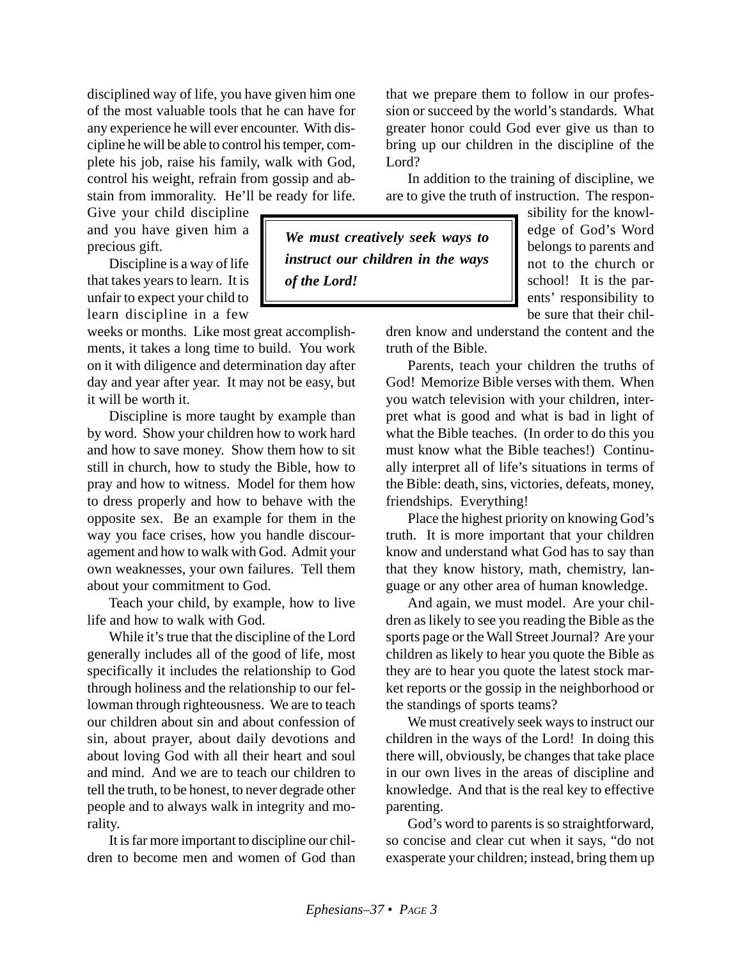disciplined way of life, you have given him one of the most valuable tools that he can have for any experience he will ever encounter. With discipline he will be able to control his temper, complete his job, raise his family, walk with God, control his weight, refrain from gossip and abstain from immorality. He'll be ready for life.

Give your child discipline and you have given him a precious gift.

Discipline is a way of life that takes years to learn. It is unfair to expect your child to learn discipline in a few

weeks or months. Like most great accomplishments, it takes a long time to build. You work on it with diligence and determination day after day and year after year. It may not be easy, but it will be worth it.

Discipline is more taught by example than by word. Show your children how to work hard and how to save money. Show them how to sit still in church, how to study the Bible, how to pray and how to witness. Model for them how to dress properly and how to behave with the opposite sex. Be an example for them in the way you face crises, how you handle discouragement and how to walk with God. Admit your own weaknesses, your own failures. Tell them about your commitment to God.

Teach your child, by example, how to live life and how to walk with God.

While it's true that the discipline of the Lord generally includes all of the good of life, most specifically it includes the relationship to God through holiness and the relationship to our fellowman through righteousness. We are to teach our children about sin and about confession of sin, about prayer, about daily devotions and about loving God with all their heart and soul and mind. And we are to teach our children to tell the truth, to be honest, to never degrade other people and to always walk in integrity and morality.

It is far more important to discipline our children to become men and women of God than that we prepare them to follow in our profession or succeed by the world's standards. What greater honor could God ever give us than to bring up our children in the discipline of the Lord?

In addition to the training of discipline, we are to give the truth of instruction. The respon-

*We must creatively seek ways to instruct our children in the ways of the Lord!*

sibility for the knowledge of God's Word belongs to parents and not to the church or school! It is the parents' responsibility to be sure that their chil-

dren know and understand the content and the truth of the Bible.

Parents, teach your children the truths of God! Memorize Bible verses with them. When you watch television with your children, interpret what is good and what is bad in light of what the Bible teaches. (In order to do this you must know what the Bible teaches!) Continually interpret all of life's situations in terms of the Bible: death, sins, victories, defeats, money, friendships. Everything!

Place the highest priority on knowing God's truth. It is more important that your children know and understand what God has to say than that they know history, math, chemistry, language or any other area of human knowledge.

And again, we must model. Are your children as likely to see you reading the Bible as the sports page or the Wall Street Journal? Are your children as likely to hear you quote the Bible as they are to hear you quote the latest stock market reports or the gossip in the neighborhood or the standings of sports teams?

We must creatively seek ways to instruct our children in the ways of the Lord! In doing this there will, obviously, be changes that take place in our own lives in the areas of discipline and knowledge. And that is the real key to effective parenting.

God's word to parents is so straightforward, so concise and clear cut when it says, "do not exasperate your children; instead, bring them up